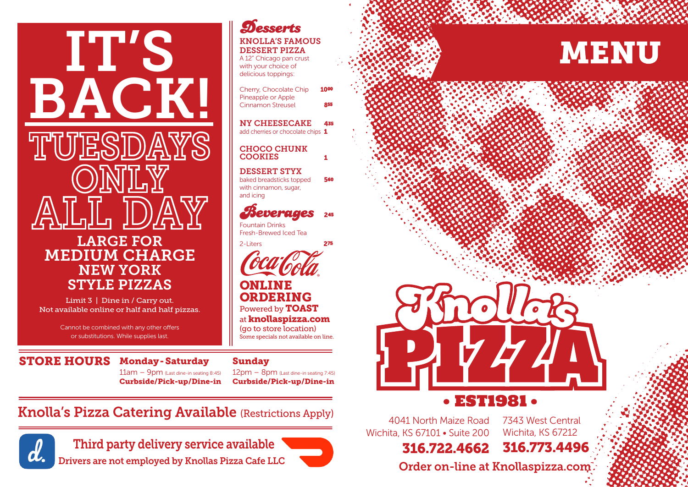# IT'S BACK! ID)A LARGE FOR MEDIUM CHARGE NEW YORK STYLE PIZZAS

Limit 3 | Dine in / Carry out. Not available online or half and half pizzas.

> Cannot be combined with any other offers or substitutions. While supplies last.

### STORE HOURS Monday - Saturday

 $11am - 9pm$  (Last dine-in seating 8:45) Curbside/Pick-up/Dine-in

### **Desserts**

#### KNOLLA'S FAMOUS DESSERT PIZZA

A 12" Chicago pan crust with your choice of delicious toppings:

Cherry, Chocolate Chip Pineapple or Apple Cinnamon Streusel

NY CHEESECAKE 4<sup>35</sup> add cherries or chocolate chips 1

#### 1 COOKIES CHOCO CHUNK

DESSERT STYX baked breadsticks topped 560 with cinnamon, sugar,

### Beverages <sup>2</sup><sup>45</sup>

Fountain Drinks Fresh-Brewed Iced Tea

and icing

2-Liters 275



#### ONLINE ORDERING Powered by TOAST

at knollaspizza.com (go to store location) Some specials not available on line.

#### Sunday

12pm – 8pm (Last dine-in seating 7:45) Curbside/Pick-up/Dine-in

### Knolla's Pizza Catering Available (Restrictions Apply)



Third party delivery service available 316.722.4662 316.773.4496







### **EST1981.**

4041 North Maize Road Wichita, KS 67101 • Suite 200

316.722.4662

7343 West Central Wichita, KS 67212

Drivers are not employed by Knollas Pizza Cafe LLC **Carlo Corder on-line at Knollaspizza.com**